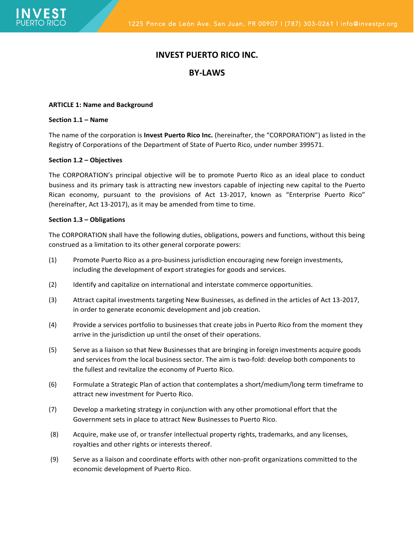# **INVEST PUERTO RICO INC.**

# **BY-LAWS**

### **ARTICLE 1: Name and Background**

### **Section 1.1 – Name**

The name of the corporation is **Invest Puerto Rico Inc.** (hereinafter, the "CORPORATION") as listed in the Registry of Corporations of the Department of State of Puerto Rico, under number 399571.

### **Section 1.2 – Objectives**

The CORPORATION's principal objective will be to promote Puerto Rico as an ideal place to conduct business and its primary task is attracting new investors capable of injecting new capital to the Puerto Rican economy, pursuant to the provisions of Act 13-2017, known as "Enterprise Puerto Rico" (hereinafter, Act 13-2017), as it may be amended from time to time.

### **Section 1.3 – Obligations**

The CORPORATION shall have the following duties, obligations, powers and functions, without this being construed as a limitation to its other general corporate powers:

- (1) Promote Puerto Rico as a pro-business jurisdiction encouraging new foreign investments, including the development of export strategies for goods and services.
- (2) Identify and capitalize on international and interstate commerce opportunities.
- (3) Attract capital investments targeting New Businesses, as defined in the articles of Act 13-2017, in order to generate economic development and job creation.
- (4) Provide a services portfolio to businesses that create jobs in Puerto Rico from the moment they arrive in the jurisdiction up until the onset of their operations.
- (5) Serve as a liaison so that New Businesses that are bringing in foreign investments acquire goods and services from the local business sector. The aim is two-fold: develop both components to the fullest and revitalize the economy of Puerto Rico.
- (6) Formulate a Strategic Plan of action that contemplates a short/medium/long term timeframe to attract new investment for Puerto Rico.
- (7) Develop a marketing strategy in conjunction with any other promotional effort that the Government sets in place to attract New Businesses to Puerto Rico.
- (8) Acquire, make use of, or transfer intellectual property rights, trademarks, and any licenses, royalties and other rights or interests thereof.
- (9) Serve as a liaison and coordinate efforts with other non-profit organizations committed to the economic development of Puerto Rico.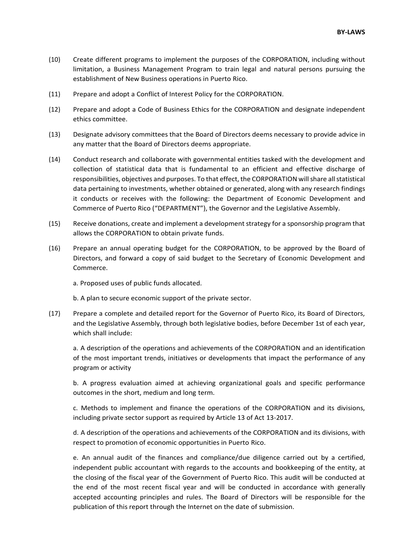- (10) Create different programs to implement the purposes of the CORPORATION, including without limitation, a Business Management Program to train legal and natural persons pursuing the establishment of New Business operations in Puerto Rico.
- (11) Prepare and adopt a Conflict of Interest Policy for the CORPORATION.
- (12) Prepare and adopt a Code of Business Ethics for the CORPORATION and designate independent ethics committee.
- (13) Designate advisory committees that the Board of Directors deems necessary to provide advice in any matter that the Board of Directors deems appropriate.
- (14) Conduct research and collaborate with governmental entities tasked with the development and collection of statistical data that is fundamental to an efficient and effective discharge of responsibilities, objectives and purposes. To that effect, the CORPORATION will share all statistical data pertaining to investments, whether obtained or generated, along with any research findings it conducts or receives with the following: the Department of Economic Development and Commerce of Puerto Rico ("DEPARTMENT"), the Governor and the Legislative Assembly.
- (15) Receive donations, create and implement a development strategy for a sponsorship program that allows the CORPORATION to obtain private funds.
- (16) Prepare an annual operating budget for the CORPORATION, to be approved by the Board of Directors, and forward a copy of said budget to the Secretary of Economic Development and Commerce.

a. Proposed uses of public funds allocated.

b. A plan to secure economic support of the private sector.

(17) Prepare a complete and detailed report for the Governor of Puerto Rico, its Board of Directors, and the Legislative Assembly, through both legislative bodies, before December 1st of each year, which shall include:

a. A description of the operations and achievements of the CORPORATION and an identification of the most important trends, initiatives or developments that impact the performance of any program or activity

b. A progress evaluation aimed at achieving organizational goals and specific performance outcomes in the short, medium and long term.

c. Methods to implement and finance the operations of the CORPORATION and its divisions, including private sector support as required by Article 13 of Act 13-2017.

d. A description of the operations and achievements of the CORPORATION and its divisions, with respect to promotion of economic opportunities in Puerto Rico.

e. An annual audit of the finances and compliance/due diligence carried out by a certified, independent public accountant with regards to the accounts and bookkeeping of the entity, at the closing of the fiscal year of the Government of Puerto Rico. This audit will be conducted at the end of the most recent fiscal year and will be conducted in accordance with generally accepted accounting principles and rules. The Board of Directors will be responsible for the publication of this report through the Internet on the date of submission.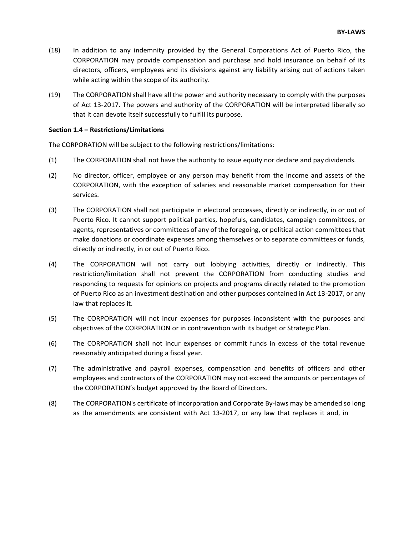- (18) In addition to any indemnity provided by the General Corporations Act of Puerto Rico, the CORPORATION may provide compensation and purchase and hold insurance on behalf of its directors, officers, employees and its divisions against any liability arising out of actions taken while acting within the scope of its authority.
- (19) The CORPORATION shall have all the power and authority necessary to comply with the purposes of Act 13-2017. The powers and authority of the CORPORATION will be interpreted liberally so that it can devote itself successfully to fulfill its purpose.

### **Section 1.4 – Restrictions/Limitations**

The CORPORATION will be subject to the following restrictions/limitations:

- (1) The CORPORATION shall not have the authority to issue equity nor declare and pay dividends.
- (2) No director, officer, employee or any person may benefit from the income and assets of the CORPORATION, with the exception of salaries and reasonable market compensation for their services.
- (3) The CORPORATION shall not participate in electoral processes, directly or indirectly, in or out of Puerto Rico. It cannot support political parties, hopefuls, candidates, campaign committees, or agents, representatives or committees of any of the foregoing, or political action committees that make donations or coordinate expenses among themselves or to separate committees or funds, directly or indirectly, in or out of Puerto Rico.
- (4) The CORPORATION will not carry out lobbying activities, directly or indirectly. This restriction/limitation shall not prevent the CORPORATION from conducting studies and responding to requests for opinions on projects and programs directly related to the promotion of Puerto Rico as an investment destination and other purposes contained in Act 13-2017, or any law that replaces it.
- (5) The CORPORATION will not incur expenses for purposes inconsistent with the purposes and objectives of the CORPORATION or in contravention with its budget or Strategic Plan.
- (6) The CORPORATION shall not incur expenses or commit funds in excess of the total revenue reasonably anticipated during a fiscal year.
- (7) The administrative and payroll expenses, compensation and benefits of officers and other employees and contractors of the CORPORATION may not exceed the amounts or percentages of the CORPORATION's budget approved by the Board of Directors.
- (8) The CORPORATION's certificate of incorporation and Corporate By-laws may be amended so long as the amendments are consistent with Act 13-2017, or any law that replaces it and, in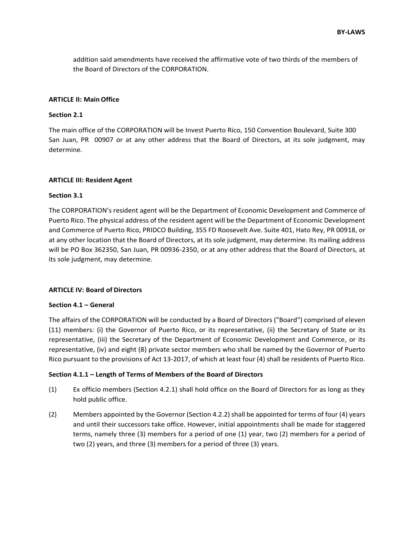addition said amendments have received the affirmative vote of two thirds of the members of the Board of Directors of the CORPORATION.

#### **ARTICLE II: MainOffice**

### **Section 2.1**

The main office of the CORPORATION will be Invest Puerto Rico, 150 Convention Boulevard, Suite 300 San Juan, PR 00907 or at any other address that the Board of Directors, at its sole judgment, may determine.

### **ARTICLE III: Resident Agent**

#### **Section 3.1**

The CORPORATION's resident agent will be the Department of Economic Development and Commerce of Puerto Rico. The physical address of the resident agent will be the Department of Economic Development and Commerce of Puerto Rico, PRIDCO Building, 355 FD Roosevelt Ave. Suite 401, Hato Rey, PR 00918, or at any other location that the Board of Directors, at its sole judgment, may determine. Its mailing address will be PO Box 362350, San Juan, PR 00936-2350, or at any other address that the Board of Directors, at its sole judgment, may determine.

#### **ARTICLE IV: Board of Directors**

#### **Section 4.1 – General**

The affairs of the CORPORATION will be conducted by a Board of Directors ("Board") comprised of eleven (11) members: (i) the Governor of Puerto Rico, or its representative, (ii) the Secretary of State or its representative, (iii) the Secretary of the Department of Economic Development and Commerce, or its representative, (iv) and eight (8) private sector members who shall be named by the Governor of Puerto Rico pursuant to the provisions of Act 13-2017, of which at least four (4) shall be residents of Puerto Rico.

### **Section 4.1.1 – Length of Terms of Members of the Board of Directors**

- (1) Ex officio members (Section 4.2.1) shall hold office on the Board of Directors for as long as they hold public office.
- (2) Members appointed by the Governor (Section 4.2.2) shall be appointed for terms of four (4) years and until their successors take office. However, initial appointments shall be made for staggered terms, namely three (3) members for a period of one (1) year, two (2) members for a period of two (2) years, and three (3) members for a period of three (3) years.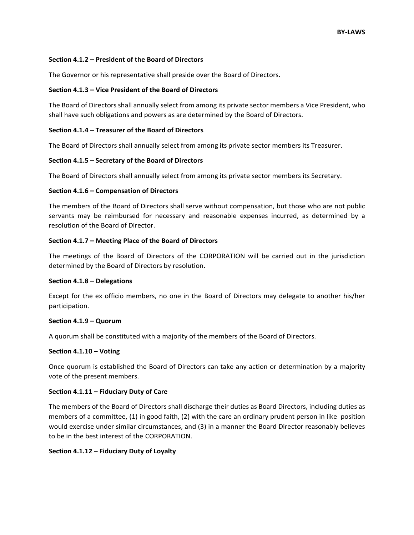### **Section 4.1.2 – President of the Board of Directors**

The Governor or his representative shall preside over the Board of Directors.

# **Section 4.1.3 – Vice President of the Board of Directors**

The Board of Directors shall annually select from among its private sector members a Vice President, who shall have such obligations and powers as are determined by the Board of Directors.

# **Section 4.1.4 – Treasurer of the Board of Directors**

The Board of Directors shall annually select from among its private sector members its Treasurer.

# **Section 4.1.5 – Secretary of the Board of Directors**

The Board of Directors shall annually select from among its private sector members its Secretary.

# **Section 4.1.6 – Compensation of Directors**

The members of the Board of Directors shall serve without compensation, but those who are not public servants may be reimbursed for necessary and reasonable expenses incurred, as determined by a resolution of the Board of Director.

# **Section 4.1.7 – Meeting Place of the Board of Directors**

The meetings of the Board of Directors of the CORPORATION will be carried out in the jurisdiction determined by the Board of Directors by resolution.

### **Section 4.1.8 – Delegations**

Except for the ex officio members, no one in the Board of Directors may delegate to another his/her participation.

### **Section 4.1.9 – Quorum**

A quorum shall be constituted with a majority of the members of the Board of Directors.

### **Section 4.1.10 – Voting**

Once quorum is established the Board of Directors can take any action or determination by a majority vote of the present members.

### **Section 4.1.11 – Fiduciary Duty of Care**

The members of the Board of Directors shall discharge their duties as Board Directors, including duties as members of a committee, (1) in good faith, (2) with the care an ordinary prudent person in like position would exercise under similar circumstances, and (3) in a manner the Board Director reasonably believes to be in the best interest of the CORPORATION.

### **Section 4.1.12 – Fiduciary Duty of Loyalty**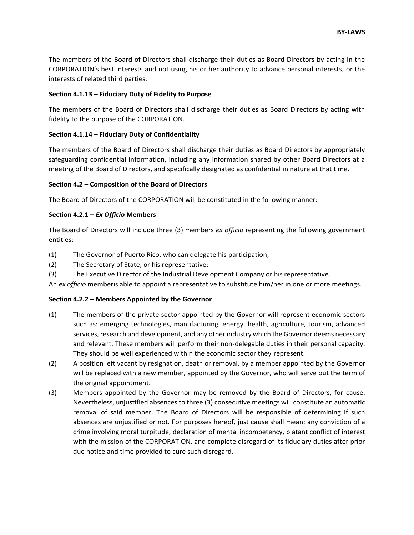The members of the Board of Directors shall discharge their duties as Board Directors by acting in the CORPORATION's best interests and not using his or her authority to advance personal interests, or the interests of related third parties.

# **Section 4.1.13 – Fiduciary Duty of Fidelity to Purpose**

The members of the Board of Directors shall discharge their duties as Board Directors by acting with fidelity to the purpose of the CORPORATION.

# **Section 4.1.14 – Fiduciary Duty of Confidentiality**

The members of the Board of Directors shall discharge their duties as Board Directors by appropriately safeguarding confidential information, including any information shared by other Board Directors at a meeting of the Board of Directors, and specifically designated as confidential in nature at that time.

# **Section 4.2 – Composition of the Board of Directors**

The Board of Directors of the CORPORATION will be constituted in the following manner:

# **Section 4.2.1 –** *Ex Officio* **Members**

The Board of Directors will include three (3) members *ex officio* representing the following government entities:

- (1) The Governor of Puerto Rico, who can delegate his participation;
- (2) The Secretary of State, or his representative;
- (3) The Executive Director of the Industrial Development Company or hisrepresentative.

An *ex officio* memberis able to appoint a representative to substitute him/her in one or more meetings.

# **Section 4.2.2 – Members Appointed by the Governor**

- (1) The members of the private sector appointed by the Governor will represent economic sectors such as: emerging technologies, manufacturing, energy, health, agriculture, tourism, advanced services, research and development, and any other industry which the Governor deems necessary and relevant. These members will perform their non-delegable duties in their personal capacity. They should be well experienced within the economic sector they represent.
- (2) A position left vacant by resignation, death or removal, by a member appointed by the Governor will be replaced with a new member, appointed by the Governor, who will serve out the term of the original appointment.
- (3) Members appointed by the Governor may be removed by the Board of Directors, for cause. Nevertheless, unjustified absences to three (3) consecutive meetings will constitute an automatic removal of said member. The Board of Directors will be responsible of determining if such absences are unjustified or not. For purposes hereof, just cause shall mean: any conviction of a crime involving moral turpitude, declaration of mental incompetency, blatant conflict of interest with the mission of the CORPORATION, and complete disregard of its fiduciary duties after prior due notice and time provided to cure such disregard.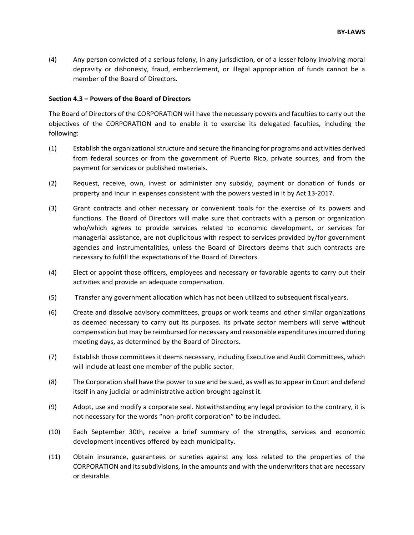(4) Any person convicted of a serious felony, in any jurisdiction, or of a lesser felony involving moral depravity or dishonesty, fraud, embezzlement, or illegal appropriation of funds cannot be a member of the Board of Directors.

#### **Section 4.3 – Powers of the Board of Directors**

The Board of Directors of the CORPORATION will have the necessary powers and faculties to carry out the objectives of the CORPORATION and to enable it to exercise its delegated faculties, including the following:

- (1) Establish the organizational structure and secure the financing for programs and activities derived from federal sources or from the government of Puerto Rico, private sources, and from the payment for services or published materials.
- (2) Request, receive, own, invest or administer any subsidy, payment or donation of funds or property and incur in expenses consistent with the powers vested in it by Act 13-2017.
- (3) Grant contracts and other necessary or convenient tools for the exercise of its powers and functions. The Board of Directors will make sure that contracts with a person or organization who/which agrees to provide services related to economic development, or services for managerial assistance, are not duplicitous with respect to services provided by/for government agencies and instrumentalities, unless the Board of Directors deems that such contracts are necessary to fulfill the expectations of the Board of Directors.
- (4) Elect or appoint those officers, employees and necessary or favorable agents to carry out their activities and provide an adequate compensation.
- (5) Transfer any government allocation which has not been utilized to subsequent fiscal years.
- (6) Create and dissolve advisory committees, groups or work teams and other similar organizations as deemed necessary to carry out its purposes. Its private sector members will serve without compensation but may be reimbursed for necessary and reasonable expenditures incurred during meeting days, as determined by the Board of Directors.
- (7) Establish those committees it deems necessary, including Executive and Audit Committees, which will include at least one member of the public sector.
- (8) The Corporation shall have the power to sue and be sued, as well as to appear in Court and defend itself in any judicial or administrative action brought against it.
- (9) Adopt, use and modify a corporate seal. Notwithstanding any legal provision to the contrary, it is not necessary for the words "non-profit corporation" to be included.
- (10) Each September 30th, receive a brief summary of the strengths, services and economic development incentives offered by each municipality.
- (11) Obtain insurance, guarantees or sureties against any loss related to the properties of the CORPORATION and its subdivisions, in the amounts and with the underwriters that are necessary or desirable.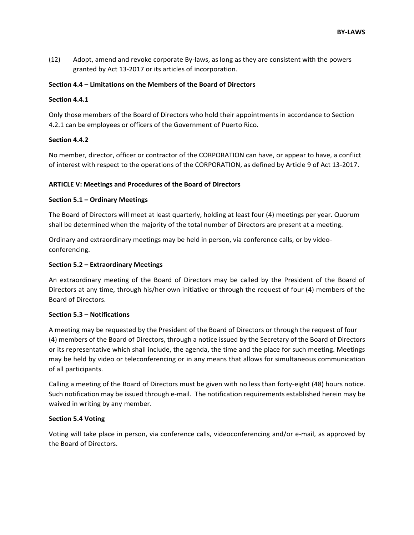(12) Adopt, amend and revoke corporate By-laws, as long as they are consistent with the powers granted by Act 13-2017 or its articles of incorporation.

### **Section 4.4 – Limitations on the Members of the Board of Directors**

### **Section 4.4.1**

Only those members of the Board of Directors who hold their appointments in accordance to Section 4.2.1 can be employees or officers of the Government of Puerto Rico.

# **Section 4.4.2**

No member, director, officer or contractor of the CORPORATION can have, or appear to have, a conflict of interest with respect to the operations of the CORPORATION, as defined by Article 9 of Act 13-2017.

# **ARTICLE V: Meetings and Procedures of the Board of Directors**

# **Section 5.1 – Ordinary Meetings**

The Board of Directors will meet at least quarterly, holding at least four (4) meetings per year. Quorum shall be determined when the majority of the total number of Directors are present at a meeting.

Ordinary and extraordinary meetings may be held in person, via conference calls, or by videoconferencing.

# **Section 5.2 – Extraordinary Meetings**

An extraordinary meeting of the Board of Directors may be called by the President of the Board of Directors at any time, through his/her own initiative or through the request of four (4) members of the Board of Directors.

### **Section 5.3 – Notifications**

A meeting may be requested by the President of the Board of Directors or through the request of four (4) members of the Board of Directors, through a notice issued by the Secretary of the Board of Directors or its representative which shall include, the agenda, the time and the place for such meeting. Meetings may be held by video or teleconferencing or in any means that allows for simultaneous communication of all participants.

Calling a meeting of the Board of Directors must be given with no less than forty-eight (48) hours notice. Such notification may be issued through e-mail. The notification requirements established herein may be waived in writing by any member.

### **Section 5.4 Voting**

Voting will take place in person, via conference calls, videoconferencing and/or e-mail, as approved by the Board of Directors.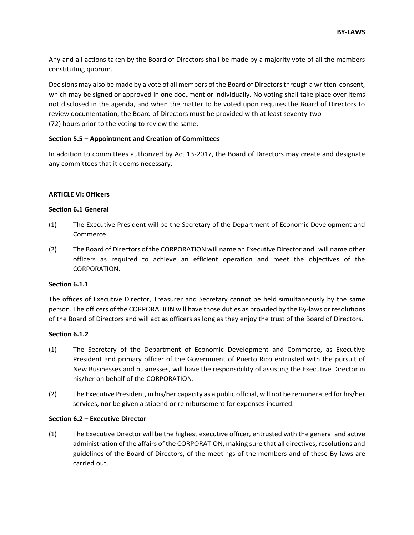Any and all actions taken by the Board of Directors shall be made by a majority vote of all the members constituting quorum.

Decisions may also be made by a vote of all members of the Board of Directors through a written consent, which may be signed or approved in one document or individually. No voting shall take place over items not disclosed in the agenda, and when the matter to be voted upon requires the Board of Directors to review documentation, the Board of Directors must be provided with at least seventy-two (72) hours prior to the voting to review the same.

# **Section 5.5 – Appointment and Creation of Committees**

In addition to committees authorized by Act 13-2017, the Board of Directors may create and designate any committees that it deems necessary.

### **ARTICLE VI: Officers**

# **Section 6.1 General**

- (1) The Executive President will be the Secretary of the Department of Economic Development and Commerce.
- (2) The Board of Directors of the CORPORATION will name an Executive Director and will name other officers as required to achieve an efficient operation and meet the objectives of the CORPORATION.

### **Section 6.1.1**

The offices of Executive Director, Treasurer and Secretary cannot be held simultaneously by the same person. The officers of the CORPORATION will have those duties as provided by the By-laws or resolutions of the Board of Directors and will act as officers as long as they enjoy the trust of the Board of Directors.

### **Section 6.1.2**

- (1) The Secretary of the Department of Economic Development and Commerce, as Executive President and primary officer of the Government of Puerto Rico entrusted with the pursuit of New Businesses and businesses, will have the responsibility of assisting the Executive Director in his/her on behalf of the CORPORATION.
- (2) The Executive President, in his/her capacity as a public official, will not be remunerated for his/her services, nor be given a stipend or reimbursement for expenses incurred.

### **Section 6.2 – Executive Director**

(1) The Executive Director will be the highest executive officer, entrusted with the general and active administration of the affairs of the CORPORATION, making sure that all directives, resolutions and guidelines of the Board of Directors, of the meetings of the members and of these By-laws are carried out.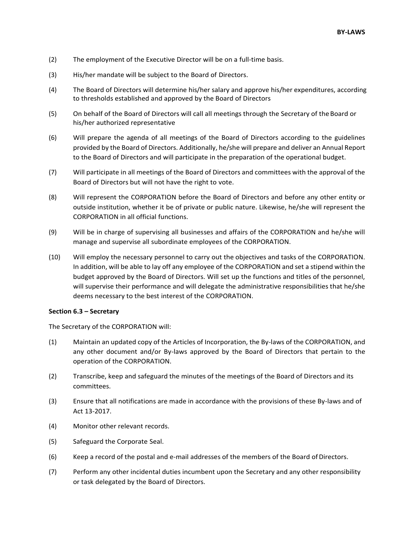- (2) The employment of the Executive Director will be on a full-time basis.
- (3) His/her mandate will be subject to the Board of Directors.
- (4) The Board of Directors will determine his/her salary and approve his/her expenditures, according to thresholds established and approved by the Board of Directors
- (5) On behalf of the Board of Directors will call all meetings through the Secretary of theBoard or his/her authorized representative
- (6) Will prepare the agenda of all meetings of the Board of Directors according to the guidelines provided by the Board of Directors. Additionally, he/she will prepare and deliver an Annual Report to the Board of Directors and will participate in the preparation of the operational budget.
- (7) Will participate in all meetings of the Board of Directors and committees with the approval of the Board of Directors but will not have the right to vote.
- (8) Will represent the CORPORATION before the Board of Directors and before any other entity or outside institution, whether it be of private or public nature. Likewise, he/she will represent the CORPORATION in all official functions.
- (9) Will be in charge of supervising all businesses and affairs of the CORPORATION and he/she will manage and supervise all subordinate employees of the CORPORATION.
- (10) Will employ the necessary personnel to carry out the objectives and tasks of the CORPORATION. In addition, will be able to lay off any employee of the CORPORATION and set a stipend within the budget approved by the Board of Directors. Will set up the functions and titles of the personnel, will supervise their performance and will delegate the administrative responsibilities that he/she deems necessary to the best interest of the CORPORATION.

### **Section 6.3 – Secretary**

The Secretary of the CORPORATION will:

- (1) Maintain an updated copy of the Articles of Incorporation, the By-laws of the CORPORATION, and any other document and/or By-laws approved by the Board of Directors that pertain to the operation of the CORPORATION.
- (2) Transcribe, keep and safeguard the minutes of the meetings of the Board of Directors and its committees.
- (3) Ensure that all notifications are made in accordance with the provisions of these By-laws and of Act 13-2017.
- (4) Monitor other relevant records.
- (5) Safeguard the Corporate Seal.
- (6) Keep a record of the postal and e-mail addresses of the members of the Board ofDirectors.
- (7) Perform any other incidental duties incumbent upon the Secretary and any other responsibility or task delegated by the Board of Directors.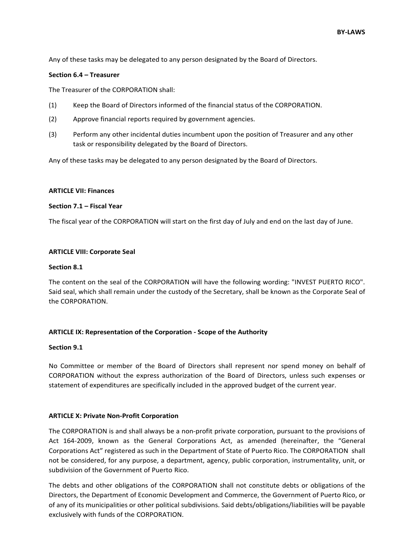Any of these tasks may be delegated to any person designated by the Board of Directors.

#### **Section 6.4 – Treasurer**

The Treasurer of the CORPORATION shall:

- (1) Keep the Board of Directors informed of the financial status of the CORPORATION.
- (2) Approve financial reports required by government agencies.
- (3) Perform any other incidental duties incumbent upon the position of Treasurer and any other task or responsibility delegated by the Board of Directors.

Any of these tasks may be delegated to any person designated by the Board of Directors.

#### **ARTICLE VII: Finances**

#### **Section 7.1 – Fiscal Year**

The fiscal year of the CORPORATION will start on the first day of July and end on the last day of June.

#### **ARTICLE VIII: Corporate Seal**

#### **Section 8.1**

The content on the seal of the CORPORATION will have the following wording: "INVEST PUERTO RICO". Said seal, which shall remain under the custody of the Secretary, shall be known as the Corporate Seal of the CORPORATION.

### **ARTICLE IX: Representation of the Corporation - Scope of the Authority**

#### **Section 9.1**

No Committee or member of the Board of Directors shall represent nor spend money on behalf of CORPORATION without the express authorization of the Board of Directors, unless such expenses or statement of expenditures are specifically included in the approved budget of the current year.

### **ARTICLE X: Private Non-Profit Corporation**

The CORPORATION is and shall always be a non-profit private corporation, pursuant to the provisions of Act 164-2009, known as the General Corporations Act, as amended (hereinafter, the "General Corporations Act" registered as such in the Department of State of Puerto Rico. The CORPORATION shall not be considered, for any purpose, a department, agency, public corporation, instrumentality, unit, or subdivision of the Government of Puerto Rico.

The debts and other obligations of the CORPORATION shall not constitute debts or obligations of the Directors, the Department of Economic Development and Commerce, the Government of Puerto Rico, or of any of its municipalities or other political subdivisions. Said debts/obligations/liabilities will be payable exclusively with funds of the CORPORATION.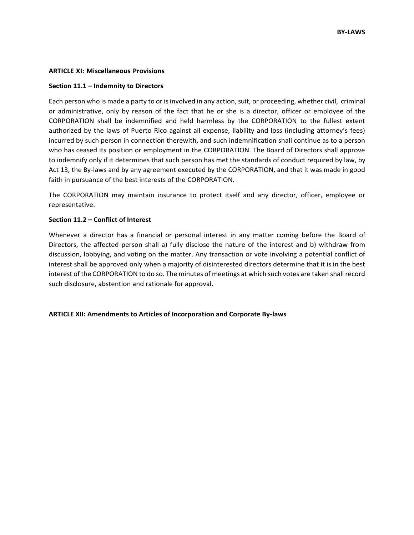#### **ARTICLE XI: Miscellaneous Provisions**

#### **Section 11.1 – Indemnity to Directors**

Each person who is made a party to or is involved in any action, suit, or proceeding, whether civil, criminal or administrative, only by reason of the fact that he or she is a director, officer or employee of the CORPORATION shall be indemnified and held harmless by the CORPORATION to the fullest extent authorized by the laws of Puerto Rico against all expense, liability and loss (including attorney's fees) incurred by such person in connection therewith, and such indemnification shall continue as to a person who has ceased its position or employment in the CORPORATION. The Board of Directors shall approve to indemnify only if it determines that such person has met the standards of conduct required by law, by Act 13, the By-laws and by any agreement executed by the CORPORATION, and that it was made in good faith in pursuance of the best interests of the CORPORATION.

The CORPORATION may maintain insurance to protect itself and any director, officer, employee or representative.

#### **Section 11.2 – Conflict of Interest**

Whenever a director has a financial or personal interest in any matter coming before the Board of Directors, the affected person shall a) fully disclose the nature of the interest and b) withdraw from discussion, lobbying, and voting on the matter. Any transaction or vote involving a potential conflict of interest shall be approved only when a majority of disinterested directors determine that it is in the best interest of the CORPORATION to do so. The minutes of meetings at which such votes are taken shall record such disclosure, abstention and rationale for approval.

### **ARTICLE XII: Amendments to Articles of Incorporation and Corporate By-laws**